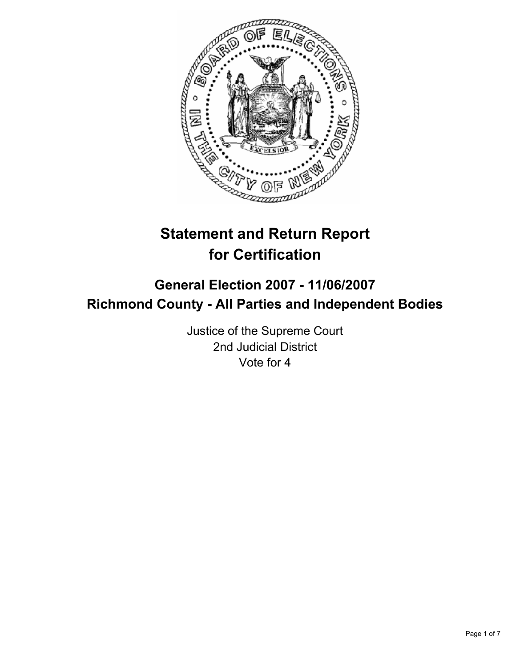

# **Statement and Return Report for Certification**

# **General Election 2007 - 11/06/2007 Richmond County - All Parties and Independent Bodies**

Justice of the Supreme Court 2nd Judicial District Vote for 4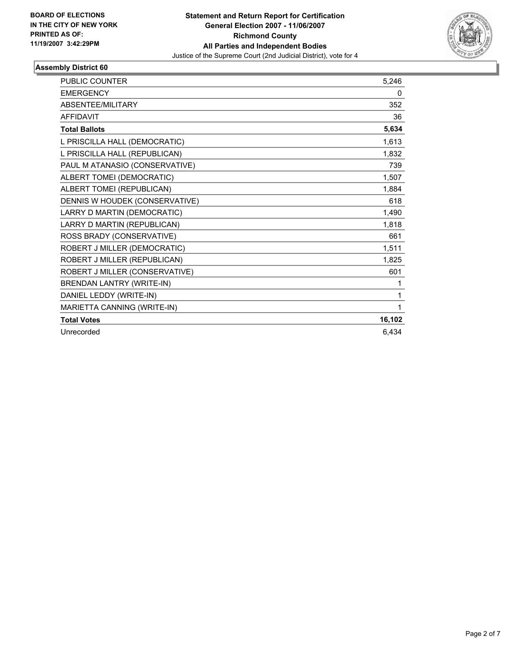

| PUBLIC COUNTER                 | 5,246  |
|--------------------------------|--------|
| <b>EMERGENCY</b>               | 0      |
| <b>ABSENTEE/MILITARY</b>       | 352    |
| <b>AFFIDAVIT</b>               | 36     |
| <b>Total Ballots</b>           | 5,634  |
| L PRISCILLA HALL (DEMOCRATIC)  | 1,613  |
| L PRISCILLA HALL (REPUBLICAN)  | 1,832  |
| PAUL M ATANASIO (CONSERVATIVE) | 739    |
| ALBERT TOMEI (DEMOCRATIC)      | 1,507  |
| ALBERT TOMEI (REPUBLICAN)      | 1,884  |
| DENNIS W HOUDEK (CONSERVATIVE) | 618    |
| LARRY D MARTIN (DEMOCRATIC)    | 1,490  |
| LARRY D MARTIN (REPUBLICAN)    | 1,818  |
| ROSS BRADY (CONSERVATIVE)      | 661    |
| ROBERT J MILLER (DEMOCRATIC)   | 1,511  |
| ROBERT J MILLER (REPUBLICAN)   | 1,825  |
| ROBERT J MILLER (CONSERVATIVE) | 601    |
| BRENDAN LANTRY (WRITE-IN)      | 1      |
| DANIEL LEDDY (WRITE-IN)        | 1      |
| MARIETTA CANNING (WRITE-IN)    | 1      |
| <b>Total Votes</b>             | 16,102 |
| Unrecorded                     | 6,434  |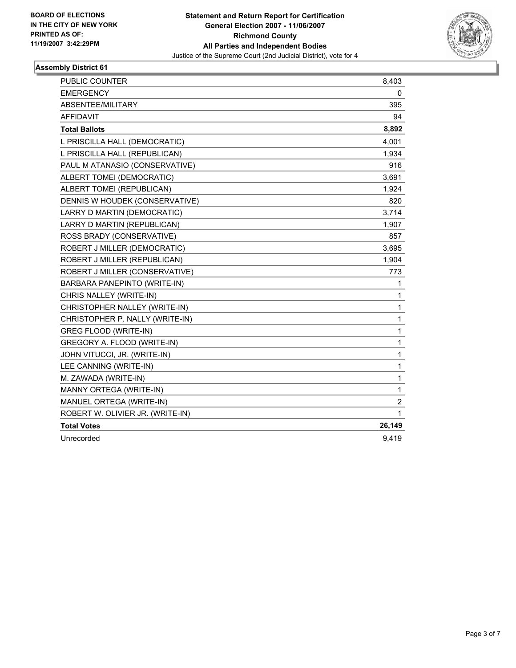

| <b>PUBLIC COUNTER</b>            | 8,403       |
|----------------------------------|-------------|
| <b>EMERGENCY</b>                 | 0           |
| ABSENTEE/MILITARY                | 395         |
| <b>AFFIDAVIT</b>                 | 94          |
| <b>Total Ballots</b>             | 8,892       |
| L PRISCILLA HALL (DEMOCRATIC)    | 4,001       |
| L PRISCILLA HALL (REPUBLICAN)    | 1,934       |
| PAUL M ATANASIO (CONSERVATIVE)   | 916         |
| ALBERT TOMEI (DEMOCRATIC)        | 3,691       |
| ALBERT TOMEI (REPUBLICAN)        | 1,924       |
| DENNIS W HOUDEK (CONSERVATIVE)   | 820         |
| LARRY D MARTIN (DEMOCRATIC)      | 3,714       |
| LARRY D MARTIN (REPUBLICAN)      | 1,907       |
| ROSS BRADY (CONSERVATIVE)        | 857         |
| ROBERT J MILLER (DEMOCRATIC)     | 3,695       |
| ROBERT J MILLER (REPUBLICAN)     | 1,904       |
| ROBERT J MILLER (CONSERVATIVE)   | 773         |
| BARBARA PANEPINTO (WRITE-IN)     | 1           |
| CHRIS NALLEY (WRITE-IN)          | 1           |
| CHRISTOPHER NALLEY (WRITE-IN)    | 1           |
| CHRISTOPHER P. NALLY (WRITE-IN)  | 1           |
| GREG FLOOD (WRITE-IN)            | 1           |
| GREGORY A. FLOOD (WRITE-IN)      | 1           |
| JOHN VITUCCI, JR. (WRITE-IN)     | 1           |
| LEE CANNING (WRITE-IN)           | 1           |
| M. ZAWADA (WRITE-IN)             | 1           |
| MANNY ORTEGA (WRITE-IN)          | 1           |
| MANUEL ORTEGA (WRITE-IN)         | $\mathbf 2$ |
| ROBERT W. OLIVIER JR. (WRITE-IN) | 1           |
| <b>Total Votes</b>               | 26,149      |
| Unrecorded                       | 9,419       |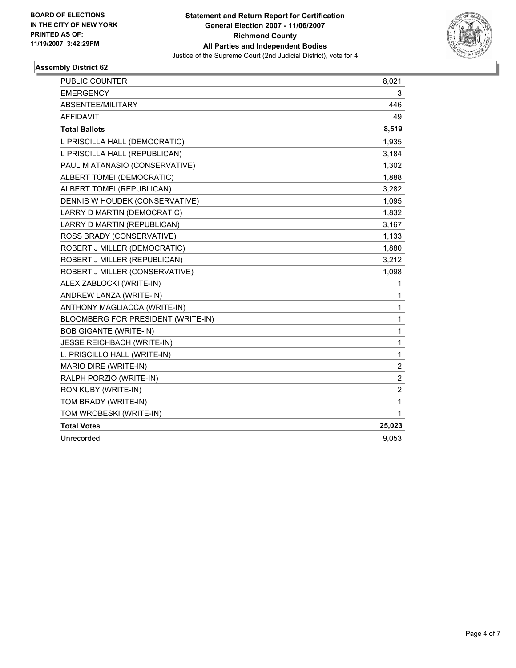

| PUBLIC COUNTER                     | 8,021                   |  |
|------------------------------------|-------------------------|--|
| <b>EMERGENCY</b>                   | 3                       |  |
| ABSENTEE/MILITARY                  | 446                     |  |
| <b>AFFIDAVIT</b>                   | 49                      |  |
| <b>Total Ballots</b>               | 8,519                   |  |
| L PRISCILLA HALL (DEMOCRATIC)      | 1,935                   |  |
| L PRISCILLA HALL (REPUBLICAN)      | 3,184                   |  |
| PAUL M ATANASIO (CONSERVATIVE)     | 1,302                   |  |
| ALBERT TOMEI (DEMOCRATIC)          | 1,888                   |  |
| ALBERT TOMEI (REPUBLICAN)          | 3,282                   |  |
| DENNIS W HOUDEK (CONSERVATIVE)     | 1,095                   |  |
| LARRY D MARTIN (DEMOCRATIC)        | 1,832                   |  |
| LARRY D MARTIN (REPUBLICAN)        | 3,167                   |  |
| ROSS BRADY (CONSERVATIVE)          | 1,133                   |  |
| ROBERT J MILLER (DEMOCRATIC)       | 1,880                   |  |
| ROBERT J MILLER (REPUBLICAN)       | 3,212                   |  |
| ROBERT J MILLER (CONSERVATIVE)     | 1,098                   |  |
| ALEX ZABLOCKI (WRITE-IN)           | 1                       |  |
| ANDREW LANZA (WRITE-IN)            | 1                       |  |
| ANTHONY MAGLIACCA (WRITE-IN)       | 1                       |  |
| BLOOMBERG FOR PRESIDENT (WRITE-IN) | 1                       |  |
| <b>BOB GIGANTE (WRITE-IN)</b>      | 1                       |  |
| <b>JESSE REICHBACH (WRITE-IN)</b>  | 1                       |  |
| L. PRISCILLO HALL (WRITE-IN)       | 1                       |  |
| MARIO DIRE (WRITE-IN)              | $\overline{\mathbf{c}}$ |  |
| RALPH PORZIO (WRITE-IN)            | $\boldsymbol{2}$        |  |
| RON KUBY (WRITE-IN)                | $\overline{2}$          |  |
| TOM BRADY (WRITE-IN)               | 1                       |  |
| TOM WROBESKI (WRITE-IN)            | 1                       |  |
| <b>Total Votes</b>                 | 25,023                  |  |
| Unrecorded                         | 9,053                   |  |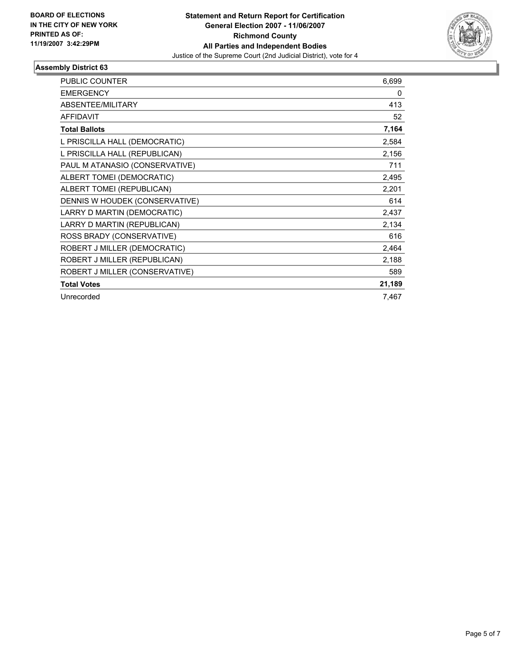

| <b>PUBLIC COUNTER</b>          | 6,699  |
|--------------------------------|--------|
| <b>EMERGENCY</b>               | 0      |
| <b>ABSENTEE/MILITARY</b>       | 413    |
| <b>AFFIDAVIT</b>               | 52     |
| <b>Total Ballots</b>           | 7,164  |
| L PRISCILLA HALL (DEMOCRATIC)  | 2,584  |
| L PRISCILLA HALL (REPUBLICAN)  | 2,156  |
| PAUL M ATANASIO (CONSERVATIVE) | 711    |
| ALBERT TOMEI (DEMOCRATIC)      | 2,495  |
| ALBERT TOMEI (REPUBLICAN)      | 2,201  |
| DENNIS W HOUDEK (CONSERVATIVE) | 614    |
| LARRY D MARTIN (DEMOCRATIC)    | 2,437  |
| LARRY D MARTIN (REPUBLICAN)    | 2,134  |
| ROSS BRADY (CONSERVATIVE)      | 616    |
| ROBERT J MILLER (DEMOCRATIC)   | 2,464  |
| ROBERT J MILLER (REPUBLICAN)   | 2,188  |
| ROBERT J MILLER (CONSERVATIVE) | 589    |
| <b>Total Votes</b>             | 21,189 |
| Unrecorded                     | 7,467  |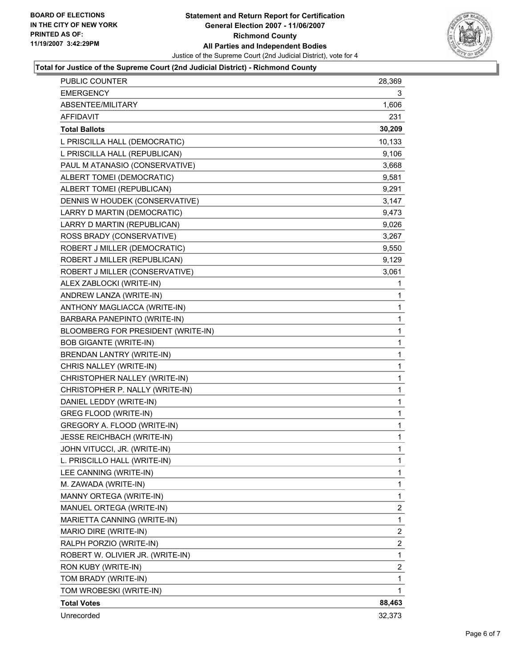

## **Total for Justice of the Supreme Court (2nd Judicial District) - Richmond County**

| <b>PUBLIC COUNTER</b>              | 28,369                  |
|------------------------------------|-------------------------|
| <b>EMERGENCY</b>                   | 3                       |
| ABSENTEE/MILITARY                  | 1,606                   |
| AFFIDAVIT                          | 231                     |
| <b>Total Ballots</b>               | 30,209                  |
| L PRISCILLA HALL (DEMOCRATIC)      | 10,133                  |
| L PRISCILLA HALL (REPUBLICAN)      | 9,106                   |
| PAUL M ATANASIO (CONSERVATIVE)     | 3,668                   |
| ALBERT TOMEI (DEMOCRATIC)          | 9,581                   |
| ALBERT TOMEI (REPUBLICAN)          | 9,291                   |
| DENNIS W HOUDEK (CONSERVATIVE)     | 3,147                   |
| LARRY D MARTIN (DEMOCRATIC)        | 9,473                   |
| LARRY D MARTIN (REPUBLICAN)        | 9,026                   |
| ROSS BRADY (CONSERVATIVE)          | 3,267                   |
| ROBERT J MILLER (DEMOCRATIC)       | 9,550                   |
| ROBERT J MILLER (REPUBLICAN)       | 9,129                   |
| ROBERT J MILLER (CONSERVATIVE)     | 3,061                   |
| ALEX ZABLOCKI (WRITE-IN)           | $\mathbf 1$             |
| ANDREW LANZA (WRITE-IN)            | 1                       |
| ANTHONY MAGLIACCA (WRITE-IN)       | 1                       |
| BARBARA PANEPINTO (WRITE-IN)       | 1                       |
| BLOOMBERG FOR PRESIDENT (WRITE-IN) | 1                       |
| <b>BOB GIGANTE (WRITE-IN)</b>      | $\mathbf 1$             |
| BRENDAN LANTRY (WRITE-IN)          | 1                       |
| CHRIS NALLEY (WRITE-IN)            | 1                       |
| CHRISTOPHER NALLEY (WRITE-IN)      | 1                       |
| CHRISTOPHER P. NALLY (WRITE-IN)    | 1                       |
| DANIEL LEDDY (WRITE-IN)            | 1                       |
| GREG FLOOD (WRITE-IN)              | 1                       |
| GREGORY A. FLOOD (WRITE-IN)        | 1                       |
| JESSE REICHBACH (WRITE-IN)         | 1                       |
| JOHN VITUCCI, JR. (WRITE-IN)       | 1                       |
| L. PRISCILLO HALL (WRITE-IN)       | 1                       |
| LEE CANNING (WRITE-IN)             | 1                       |
| M. ZAWADA (WRITE-IN)               | 1                       |
| MANNY ORTEGA (WRITE-IN)            | 1                       |
| MANUEL ORTEGA (WRITE-IN)           | $\overline{\mathbf{c}}$ |
| MARIETTA CANNING (WRITE-IN)        | $\mathbf{1}$            |
| MARIO DIRE (WRITE-IN)              | $\overline{c}$          |
| RALPH PORZIO (WRITE-IN)            | $\overline{\mathbf{c}}$ |
| ROBERT W. OLIVIER JR. (WRITE-IN)   | 1                       |
| RON KUBY (WRITE-IN)                | $\overline{2}$          |
| TOM BRADY (WRITE-IN)               | 1                       |
| TOM WROBESKI (WRITE-IN)            | 1                       |
| <b>Total Votes</b>                 | 88,463                  |
| Unrecorded                         | 32,373                  |
|                                    |                         |